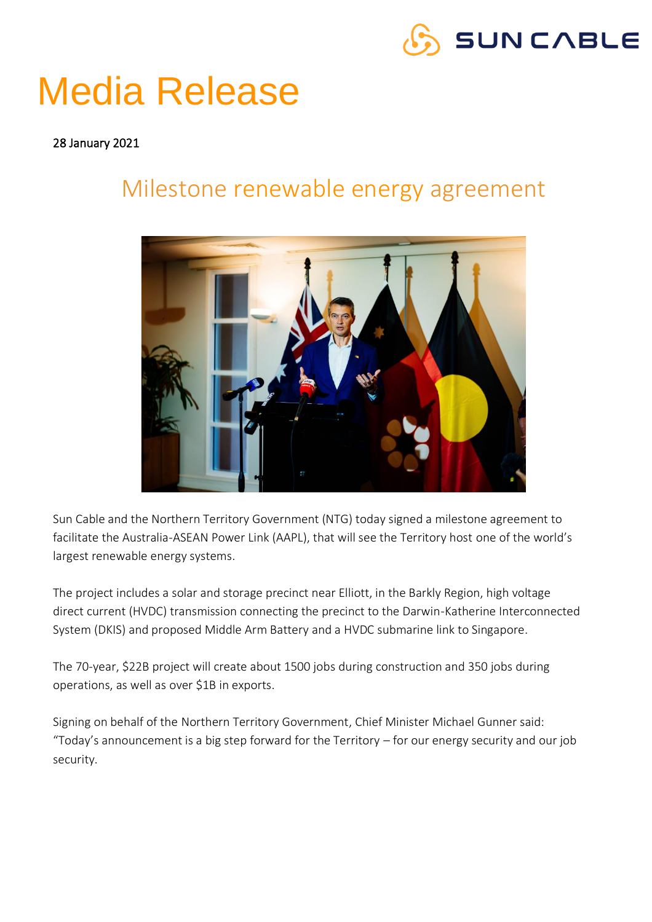

## Media Release

#### 28 January 2021

#### Milestone renewable energy agreement



Sun Cable and the Northern Territory Government (NTG) today signed a milestone agreement to facilitate the Australia-ASEAN Power Link (AAPL), that will see the Territory host one of the world's largest renewable energy systems.

The project includes a solar and storage precinct near Elliott, in the Barkly Region, high voltage direct current (HVDC) transmission connecting the precinct to the Darwin-Katherine Interconnected System (DKIS) and proposed Middle Arm Battery and a HVDC submarine link to Singapore.

The 70-year, \$22B project will create about 1500 jobs during construction and 350 jobs during operations, as well as over \$1B in exports.

Signing on behalf of the Northern Territory Government, Chief Minister Michael Gunner said: "Today's announcement is a big step forward for the Territory – for our energy security and our job security.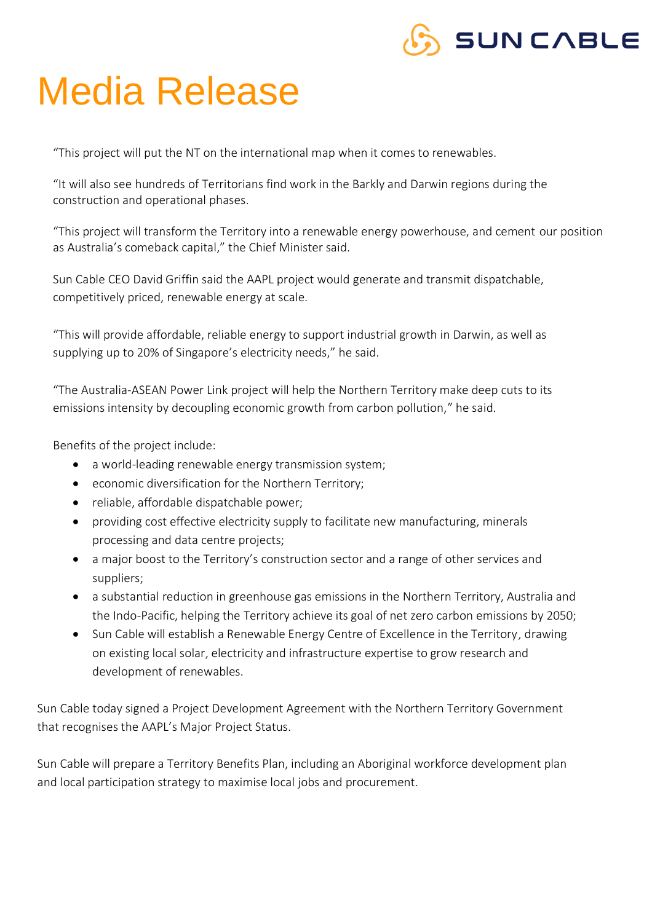### **SUNCABLE**

## Media Release

"This project will put the NT on the international map when it comes to renewables.

"It will also see hundreds of Territorians find work in the Barkly and Darwin regions during the construction and operational phases.

"This project will transform the Territory into a renewable energy powerhouse, and cement our position as Australia's comeback capital," the Chief Minister said.

Sun Cable CEO David Griffin said the AAPL project would generate and transmit dispatchable, competitively priced, renewable energy at scale.

"This will provide affordable, reliable energy to support industrial growth in Darwin, as well as supplying up to 20% of Singapore's electricity needs," he said.

"The Australia-ASEAN Power Link project will help the Northern Territory make deep cuts to its emissions intensity by decoupling economic growth from carbon pollution," he said.

Benefits of the project include:

- a world-leading renewable energy transmission system;
- economic diversification for the Northern Territory;
- reliable, affordable dispatchable power;
- providing cost effective electricity supply to facilitate new manufacturing, minerals processing and data centre projects;
- a major boost to the Territory's construction sector and a range of other services and suppliers;
- a substantial reduction in greenhouse gas emissions in the Northern Territory, Australia and the Indo-Pacific, helping the Territory achieve its goal of net zero carbon emissions by 2050;
- Sun Cable will establish a Renewable Energy Centre of Excellence in the Territory, drawing on existing local solar, electricity and infrastructure expertise to grow research and development of renewables.

Sun Cable today signed a Project Development Agreement with the Northern Territory Government that recognises the AAPL's Major Project Status.

Sun Cable will prepare a Territory Benefits Plan, including an Aboriginal workforce development plan and local participation strategy to maximise local jobs and procurement.